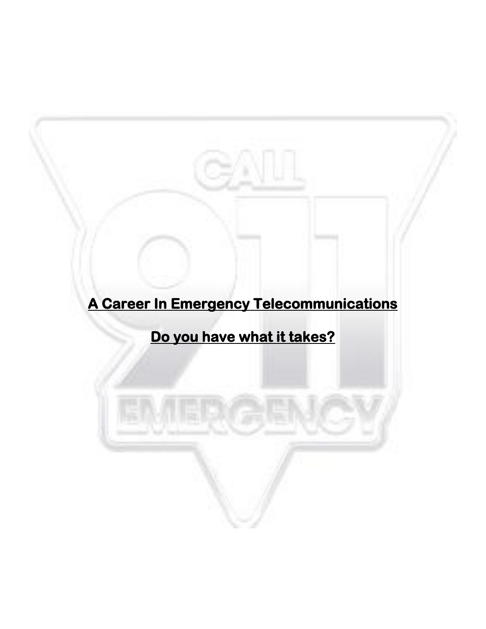# **A Career In Emergency Telecommunications**

## **Do you have what it takes?**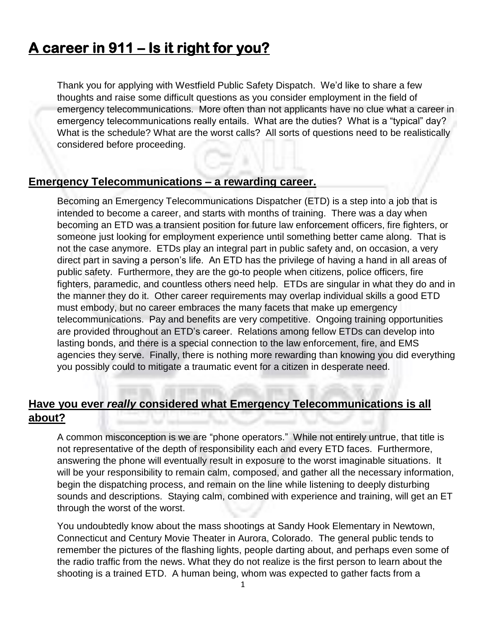### **A career in 911 – Is it right for you?**

Thank you for applying with Westfield Public Safety Dispatch. We'd like to share a few thoughts and raise some difficult questions as you consider employment in the field of emergency telecommunications. More often than not applicants have no clue what a career in emergency telecommunications really entails. What are the duties? What is a "typical" day? What is the schedule? What are the worst calls? All sorts of questions need to be realistically considered before proceeding.

#### **Emergency Telecommunications – a rewarding career.**

Becoming an Emergency Telecommunications Dispatcher (ETD) is a step into a job that is intended to become a career, and starts with months of training. There was a day when becoming an ETD was a transient position for future law enforcement officers, fire fighters, or someone just looking for employment experience until something better came along. That is not the case anymore. ETDs play an integral part in public safety and, on occasion, a very direct part in saving a person's life. An ETD has the privilege of having a hand in all areas of public safety. Furthermore, they are the go-to people when citizens, police officers, fire fighters, paramedic, and countless others need help. ETDs are singular in what they do and in the manner they do it. Other career requirements may overlap individual skills a good ETD must embody, but no career embraces the many facets that make up emergency telecommunications. Pay and benefits are very competitive. Ongoing training opportunities are provided throughout an ETD's career. Relations among fellow ETDs can develop into lasting bonds, and there is a special connection to the law enforcement, fire, and EMS agencies they serve. Finally, there is nothing more rewarding than knowing you did everything you possibly could to mitigate a traumatic event for a citizen in desperate need.

#### **Have you ever** *really* **considered what Emergency Telecommunications is all about?**

A common misconception is we are "phone operators." While not entirely untrue, that title is not representative of the depth of responsibility each and every ETD faces. Furthermore, answering the phone will eventually result in exposure to the worst imaginable situations. It will be your responsibility to remain calm, composed, and gather all the necessary information, begin the dispatching process, and remain on the line while listening to deeply disturbing sounds and descriptions. Staying calm, combined with experience and training, will get an ET through the worst of the worst.

You undoubtedly know about the mass shootings at Sandy Hook Elementary in Newtown, Connecticut and Century Movie Theater in Aurora, Colorado. The general public tends to remember the pictures of the flashing lights, people darting about, and perhaps even some of the radio traffic from the news. What they do not realize is the first person to learn about the shooting is a trained ETD. A human being, whom was expected to gather facts from a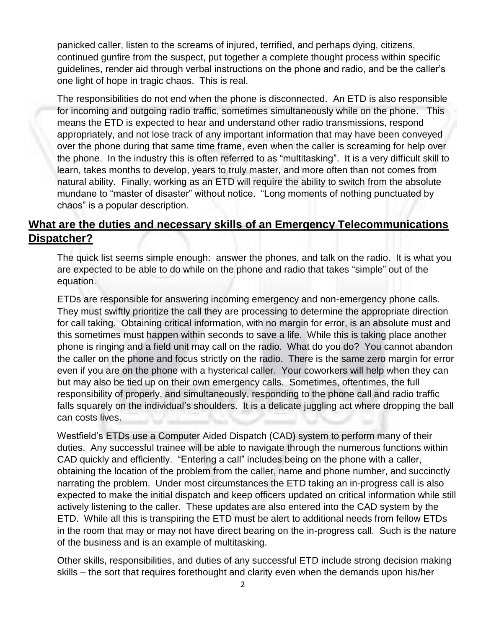panicked caller, listen to the screams of injured, terrified, and perhaps dying, citizens, continued gunfire from the suspect, put together a complete thought process within specific guidelines, render aid through verbal instructions on the phone and radio, and be the caller's one light of hope in tragic chaos. This is real.



#### **What are the duties and necessary skills of an Emergency Telecommunications Dispatcher?**

The quick list seems simple enough: answer the phones, and talk on the radio. It is what you are expected to be able to do while on the phone and radio that takes "simple" out of the equation.

ETDs are responsible for answering incoming emergency and non-emergency phone calls. They must swiftly prioritize the call they are processing to determine the appropriate direction for call taking. Obtaining critical information, with no margin for error, is an absolute must and this sometimes must happen within seconds to save a life. While this is taking place another phone is ringing and a field unit may call on the radio. What do you do? You cannot abandon the caller on the phone and focus strictly on the radio. There is the same zero margin for error even if you are on the phone with a hysterical caller. Your coworkers will help when they can but may also be tied up on their own emergency calls. Sometimes, oftentimes, the full responsibility of properly, and simultaneously, responding to the phone call and radio traffic falls squarely on the individual's shoulders. It is a delicate juggling act where dropping the ball can costs lives.

Westfield's ETDs use a Computer Aided Dispatch (CAD) system to perform many of their duties. Any successful trainee will be able to navigate through the numerous functions within CAD quickly and efficiently. "Entering a call" includes being on the phone with a caller, obtaining the location of the problem from the caller, name and phone number, and succinctly narrating the problem. Under most circumstances the ETD taking an in-progress call is also expected to make the initial dispatch and keep officers updated on critical information while still actively listening to the caller. These updates are also entered into the CAD system by the ETD. While all this is transpiring the ETD must be alert to additional needs from fellow ETDs in the room that may or may not have direct bearing on the in-progress call. Such is the nature of the business and is an example of multitasking.

Other skills, responsibilities, and duties of any successful ETD include strong decision making skills – the sort that requires forethought and clarity even when the demands upon his/her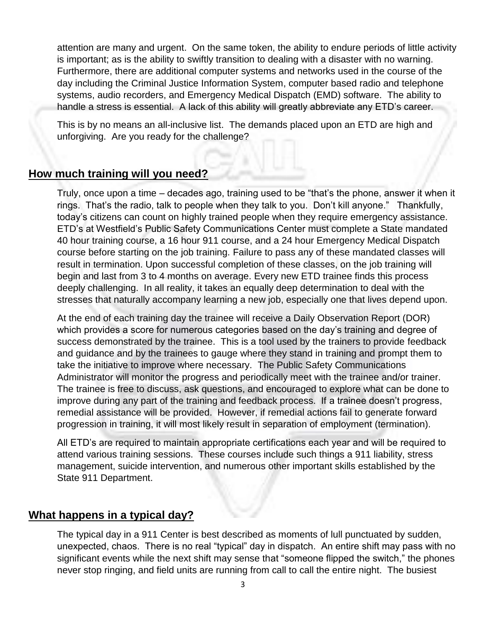attention are many and urgent. On the same token, the ability to endure periods of little activity is important; as is the ability to swiftly transition to dealing with a disaster with no warning. Furthermore, there are additional computer systems and networks used in the course of the day including the Criminal Justice Information System, computer based radio and telephone systems, audio recorders, and Emergency Medical Dispatch (EMD) software. The ability to handle a stress is essential. A lack of this ability will greatly abbreviate any ETD's career.

This is by no means an all-inclusive list. The demands placed upon an ETD are high and unforgiving. Are you ready for the challenge?

#### **How much training will you need?**

Truly, once upon a time – decades ago, training used to be "that's the phone, answer it when it rings. That's the radio, talk to people when they talk to you. Don't kill anyone." Thankfully, today's citizens can count on highly trained people when they require emergency assistance. ETD's at Westfield's Public Safety Communications Center must complete a State mandated 40 hour training course, a 16 hour 911 course, and a 24 hour Emergency Medical Dispatch course before starting on the job training. Failure to pass any of these mandated classes will result in termination. Upon successful completion of these classes, on the job training will begin and last from 3 to 4 months on average. Every new ETD trainee finds this process deeply challenging. In all reality, it takes an equally deep determination to deal with the stresses that naturally accompany learning a new job, especially one that lives depend upon.

At the end of each training day the trainee will receive a Daily Observation Report (DOR) which provides a score for numerous categories based on the day's training and degree of success demonstrated by the trainee. This is a tool used by the trainers to provide feedback and guidance and by the trainees to gauge where they stand in training and prompt them to take the initiative to improve where necessary. The Public Safety Communications Administrator will monitor the progress and periodically meet with the trainee and/or trainer. The trainee is free to discuss, ask questions, and encouraged to explore what can be done to improve during any part of the training and feedback process. If a trainee doesn't progress, remedial assistance will be provided. However, if remedial actions fail to generate forward progression in training, it will most likely result in separation of employment (termination).

All ETD's are required to maintain appropriate certifications each year and will be required to attend various training sessions. These courses include such things a 911 liability, stress management, suicide intervention, and numerous other important skills established by the State 911 Department.

#### **What happens in a typical day?**

The typical day in a 911 Center is best described as moments of lull punctuated by sudden, unexpected, chaos. There is no real "typical" day in dispatch. An entire shift may pass with no significant events while the next shift may sense that "someone flipped the switch," the phones never stop ringing, and field units are running from call to call the entire night. The busiest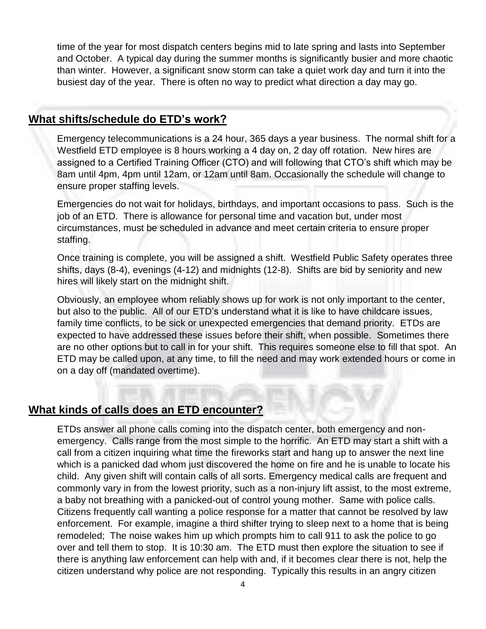time of the year for most dispatch centers begins mid to late spring and lasts into September and October. A typical day during the summer months is significantly busier and more chaotic than winter. However, a significant snow storm can take a quiet work day and turn it into the busiest day of the year. There is often no way to predict what direction a day may go.

#### **What shifts/schedule do ETD's work?**

Emergency telecommunications is a 24 hour, 365 days a year business. The normal shift for a Westfield ETD employee is 8 hours working a 4 day on, 2 day off rotation. New hires are assigned to a Certified Training Officer (CTO) and will following that CTO's shift which may be 8am until 4pm, 4pm until 12am, or 12am until 8am. Occasionally the schedule will change to ensure proper staffing levels.

Emergencies do not wait for holidays, birthdays, and important occasions to pass. Such is the job of an ETD. There is allowance for personal time and vacation but, under most circumstances, must be scheduled in advance and meet certain criteria to ensure proper staffing.

Once training is complete, you will be assigned a shift. Westfield Public Safety operates three shifts, days (8-4), evenings (4-12) and midnights (12-8). Shifts are bid by seniority and new hires will likely start on the midnight shift.

Obviously, an employee whom reliably shows up for work is not only important to the center, but also to the public. All of our ETD's understand what it is like to have childcare issues, family time conflicts, to be sick or unexpected emergencies that demand priority. ETDs are expected to have addressed these issues before their shift, when possible. Sometimes there are no other options but to call in for your shift. This requires someone else to fill that spot. An ETD may be called upon, at any time, to fill the need and may work extended hours or come in on a day off (mandated overtime).

#### **What kinds of calls does an ETD encounter?**

ETDs answer all phone calls coming into the dispatch center, both emergency and nonemergency. Calls range from the most simple to the horrific. An ETD may start a shift with a call from a citizen inquiring what time the fireworks start and hang up to answer the next line which is a panicked dad whom just discovered the home on fire and he is unable to locate his child. Any given shift will contain calls of all sorts. Emergency medical calls are frequent and commonly vary in from the lowest priority, such as a non-injury lift assist, to the most extreme, a baby not breathing with a panicked-out of control young mother. Same with police calls. Citizens frequently call wanting a police response for a matter that cannot be resolved by law enforcement. For example, imagine a third shifter trying to sleep next to a home that is being remodeled; The noise wakes him up which prompts him to call 911 to ask the police to go over and tell them to stop. It is 10:30 am. The ETD must then explore the situation to see if there is anything law enforcement can help with and, if it becomes clear there is not, help the citizen understand why police are not responding. Typically this results in an angry citizen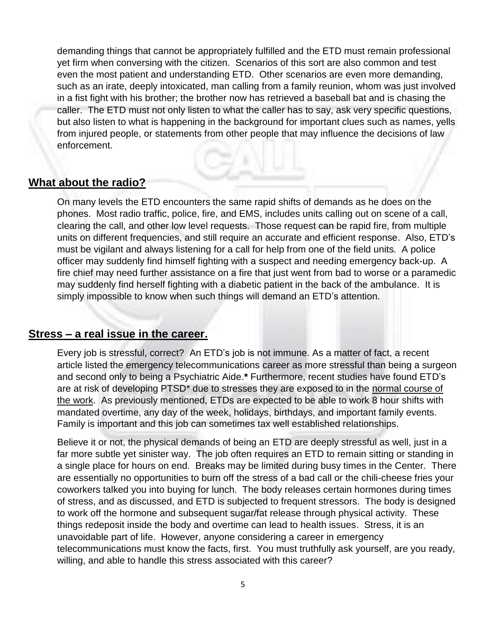demanding things that cannot be appropriately fulfilled and the ETD must remain professional yet firm when conversing with the citizen. Scenarios of this sort are also common and test even the most patient and understanding ETD. Other scenarios are even more demanding, such as an irate, deeply intoxicated, man calling from a family reunion, whom was just involved in a fist fight with his brother; the brother now has retrieved a baseball bat and is chasing the caller. The ETD must not only listen to what the caller has to say, ask very specific questions, but also listen to what is happening in the background for important clues such as names, yells from injured people, or statements from other people that may influence the decisions of law enforcement.

#### **What about the radio?**

On many levels the ETD encounters the same rapid shifts of demands as he does on the phones. Most radio traffic, police, fire, and EMS, includes units calling out on scene of a call, clearing the call, and other low level requests. Those request can be rapid fire, from multiple units on different frequencies, and still require an accurate and efficient response. Also, ETD's must be vigilant and always listening for a call for help from one of the field units. A police officer may suddenly find himself fighting with a suspect and needing emergency back-up. A fire chief may need further assistance on a fire that just went from bad to worse or a paramedic may suddenly find herself fighting with a diabetic patient in the back of the ambulance. It is simply impossible to know when such things will demand an ETD's attention.

#### **Stress – a real issue in the career.**

Every job is stressful, correct? An ETD's job is not immune. As a matter of fact, a recent article listed the emergency telecommunications career as more stressful than being a surgeon and second only to being a Psychiatric Aide.**\*** Furthermore, recent studies have found ETD's are at risk of developing PTSD<sup>\*</sup> due to stresses they are exposed to in the normal course of the work. As previously mentioned, ETDs are expected to be able to work 8 hour shifts with mandated overtime, any day of the week, holidays, birthdays, and important family events. Family is important and this job can sometimes tax well established relationships.

Believe it or not, the physical demands of being an ETD are deeply stressful as well, just in a far more subtle yet sinister way. The job often requires an ETD to remain sitting or standing in a single place for hours on end. Breaks may be limited during busy times in the Center. There are essentially no opportunities to burn off the stress of a bad call or the chili-cheese fries your coworkers talked you into buying for lunch. The body releases certain hormones during times of stress, and as discussed, and ETD is subjected to frequent stressors. The body is designed to work off the hormone and subsequent sugar/fat release through physical activity. These things redeposit inside the body and overtime can lead to health issues. Stress, it is an unavoidable part of life. However, anyone considering a career in emergency telecommunications must know the facts, first. You must truthfully ask yourself, are you ready, willing, and able to handle this stress associated with this career?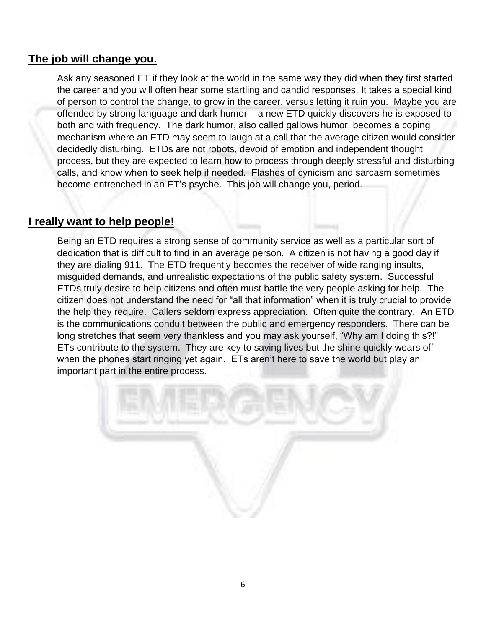#### **The job will change you.**

Ask any seasoned ET if they look at the world in the same way they did when they first started the career and you will often hear some startling and candid responses. It takes a special kind of person to control the change, to grow in the career, versus letting it ruin you. Maybe you are offended by strong language and dark humor – a new ETD quickly discovers he is exposed to both and with frequency. The dark humor, also called gallows humor, becomes a coping mechanism where an ETD may seem to laugh at a call that the average citizen would consider decidedly disturbing. ETDs are not robots, devoid of emotion and independent thought process, but they are expected to learn how to process through deeply stressful and disturbing calls, and know when to seek help if needed. Flashes of cynicism and sarcasm sometimes become entrenched in an ET's psyche. This job will change you, period.

#### **I really want to help people!**

Being an ETD requires a strong sense of community service as well as a particular sort of dedication that is difficult to find in an average person. A citizen is not having a good day if they are dialing 911. The ETD frequently becomes the receiver of wide ranging insults, misguided demands, and unrealistic expectations of the public safety system. Successful ETDs truly desire to help citizens and often must battle the very people asking for help. The citizen does not understand the need for "all that information" when it is truly crucial to provide the help they require. Callers seldom express appreciation. Often quite the contrary. An ETD is the communications conduit between the public and emergency responders. There can be long stretches that seem very thankless and you may ask yourself, "Why am I doing this?!" ETs contribute to the system. They are key to saving lives but the shine quickly wears off when the phones start ringing yet again. ETs aren't here to save the world but play an important part in the entire process.

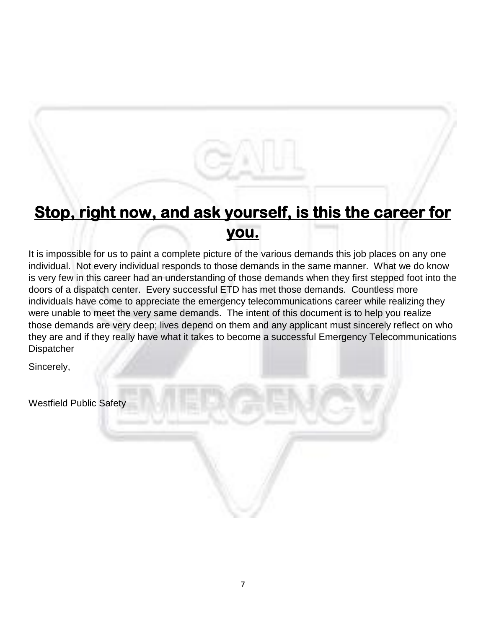### **Stop, right now, and ask yourself, is this the career for you.**

It is impossible for us to paint a complete picture of the various demands this job places on any one individual. Not every individual responds to those demands in the same manner. What we do know is very few in this career had an understanding of those demands when they first stepped foot into the doors of a dispatch center. Every successful ETD has met those demands. Countless more individuals have come to appreciate the emergency telecommunications career while realizing they were unable to meet the very same demands. The intent of this document is to help you realize those demands are very deep; lives depend on them and any applicant must sincerely reflect on who they are and if they really have what it takes to become a successful Emergency Telecommunications Dispatcher

Sincerely,

Westfield Public Safety